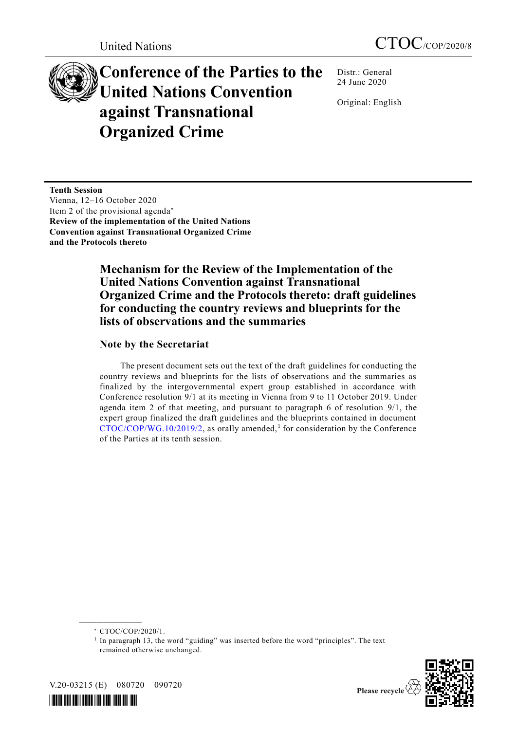# **Conference of the Parties to the United Nations Convention against Transnational Organized Crime**

Distr.: General 24 June 2020

Original: English

**Tenth Session** Vienna, 12–16 October 2020 Item 2 of the provisional agenda **Review of the implementation of the United Nations Convention against Transnational Organized Crime and the Protocols thereto**

## **Mechanism for the Review of the Implementation of the United Nations Convention against Transnational Organized Crime and the Protocols thereto: draft guidelines for conducting the country reviews and blueprints for the lists of observations and the summaries**

#### **Note by the Secretariat**

The present document sets out the text of the draft guidelines for conducting the country reviews and blueprints for the lists of observations and the summaries as finalized by the intergovernmental expert group established in accordance with Conference resolution 9/1 at its meeting in Vienna from 9 to 11 October 2019. Under agenda item 2 of that meeting, and pursuant to paragraph 6 of resolution 9/1, the expert group finalized the draft guidelines and the blueprints contained in document  $\text{CTOC/COP/WG}.10/2019/2$ , as orally amended,<sup>1</sup> for consideration by the Conference of the Parties at its tenth session.

<sup>&</sup>lt;sup>1</sup> In paragraph 13, the word "guiding" was inserted before the word "principles". The text remained otherwise unchanged.



V.20-03215 (E) 080720 090720

**\_\_\_\_\_\_\_\_\_\_\_\_\_\_\_\_\_\_**



<sup>\*</sup> CTOC/COP/2020/1.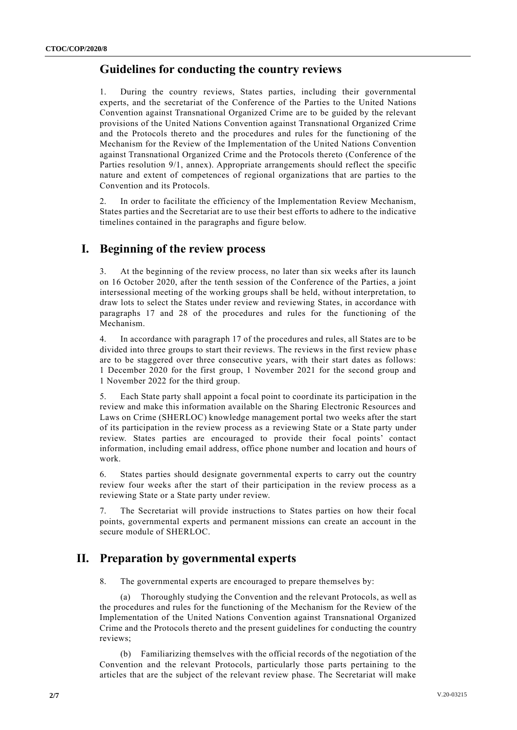#### **Guidelines for conducting the country reviews**

During the country reviews, States parties, including their governmental experts, and the secretariat of the Conference of the Parties to the United Nations Convention against Transnational Organized Crime are to be guided by the relevant provisions of the United Nations Convention against Transnational Organized Crime and the Protocols thereto and the procedures and rules for the functioning of the Mechanism for the Review of the Implementation of the United Nations Convention against Transnational Organized Crime and the Protocols thereto (Conference of the Parties resolution 9/1, annex). Appropriate arrangements should reflect the specific nature and extent of competences of regional organizations that are parties to the Convention and its Protocols.

2. In order to facilitate the efficiency of the Implementation Review Mechanism, States parties and the Secretariat are to use their best efforts to adhere to the indicative timelines contained in the paragraphs and figure below.

#### **I. Beginning of the review process**

3. At the beginning of the review process, no later than six weeks after its launch on 16 October 2020, after the tenth session of the Conference of the Parties, a joint intersessional meeting of the working groups shall be held, without interpretation, to draw lots to select the States under review and reviewing States, in accordance with paragraphs 17 and 28 of the procedures and rules for the functioning of the Mechanism.

4. In accordance with paragraph 17 of the procedures and rules, all States are to be divided into three groups to start their reviews. The reviews in the first review phas e are to be staggered over three consecutive years, with their start dates as follows: 1 December 2020 for the first group, 1 November 2021 for the second group and 1 November 2022 for the third group.

5. Each State party shall appoint a focal point to coordinate its participation in the review and make this information available on the Sharing Electronic Resources and Laws on Crime (SHERLOC) knowledge management portal two weeks after the start of its participation in the review process as a reviewing State or a State party under review. States parties are encouraged to provide their focal points' contact information, including email address, office phone number and location and hours of work.

6. States parties should designate governmental experts to carry out the country review four weeks after the start of their participation in the review process as a reviewing State or a State party under review.

7. The Secretariat will provide instructions to States parties on how their focal points, governmental experts and permanent missions can create an account in the secure module of SHERLOC.

## **II. Preparation by governmental experts**

8. The governmental experts are encouraged to prepare themselves by:

(a) Thoroughly studying the Convention and the relevant Protocols, as well as the procedures and rules for the functioning of the Mechanism for the Review of the Implementation of the United Nations Convention against Transnational Organized Crime and the Protocols thereto and the present guidelines for conducting the country reviews;

(b) Familiarizing themselves with the official records of the negotiation of the Convention and the relevant Protocols, particularly those parts pertaining to the articles that are the subject of the relevant review phase. The Secretariat will make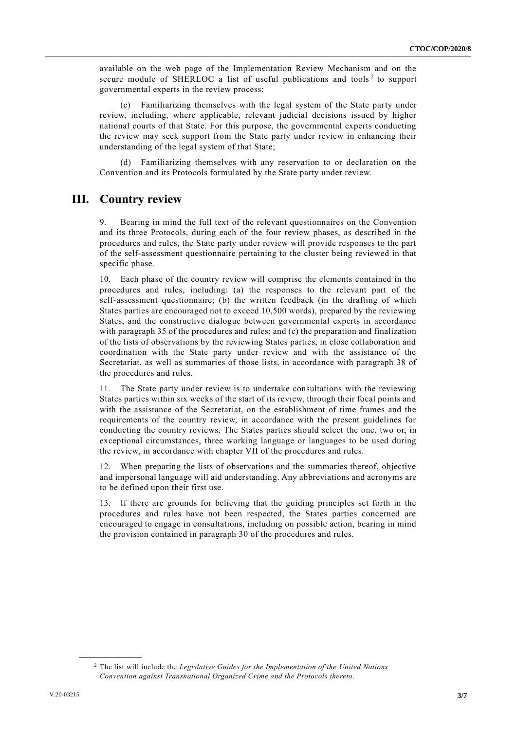available on the web page of the Implementation Review Mechanism and on the secure module of SHERLOC a list of useful publications and tools<sup>2</sup> to support governmental experts in the review process;

(c) Familiarizing themselves with the legal system of the State party under review, including, where applicable, relevant judicial decisions issued by higher national courts of that State. For this purpose, the governmental experts conducting the review may seek support from the State party under review in enhancing their understanding of the legal system of that State;

(d) Familiarizing themselves with any reservation to or declaration on the Convention and its Protocols formulated by the State party under review.

#### **III. Country review**

9. Bearing in mind the full text of the relevant questionnaires on the Convention and its three Protocols, during each of the four review phases, as described in the procedures and rules, the State party under review will provide responses to the part of the self-assessment questionnaire pertaining to the cluster being reviewed in that specific phase.

10. Each phase of the country review will comprise the elements contained in the procedures and rules, including: (a) the responses to the relevant part of the self-assessment questionnaire; (b) the written feedback (in the drafting of which States parties are encouraged not to exceed 10,500 words), prepared by the reviewing States, and the constructive dialogue between governmental experts in accordance with paragraph 35 of the procedures and rules; and (c) the preparation and finalization of the lists of observations by the reviewing States parties, in close collaboration and coordination with the State party under review and with the assistance of the Secretariat, as well as summaries of those lists, in accordance with paragraph 38 of the procedures and rules.

11. The State party under review is to undertake consultations with the reviewing States parties within six weeks of the start of its review, through their focal points and with the assistance of the Secretariat, on the establishment of time frames and the requirements of the country review, in accordance with the present guidelines for conducting the country reviews. The States parties should select the one, two or, in exceptional circumstances, three working language or languages to be used during the review, in accordance with chapter VII of the procedures and rules.

12. When preparing the lists of observations and the summaries thereof, objective and impersonal language will aid understanding. Any abbreviations and acronyms are to be defined upon their first use.

13. If there are grounds for believing that the guiding principles set forth in the procedures and rules have not been respected, the States parties concerned are encouraged to engage in consultations, including on possible action, bearing in mind the provision contained in paragraph 30 of the procedures and rules.

**\_\_\_\_\_\_\_\_\_\_\_\_\_\_\_\_\_\_**

<sup>2</sup> The list will include the *Legislative Guides for the Implementation of the United Nations Convention against Transnational Organized Crime and the Protocols thereto*.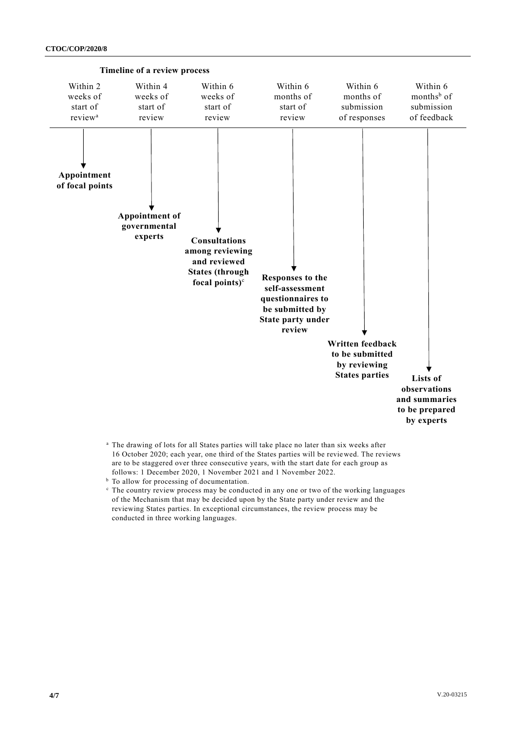

- <sup>a</sup> The drawing of lots for all States parties will take place no later than six weeks after 16 October 2020; each year, one third of the States parties will be reviewed. The reviews are to be staggered over three consecutive years, with the start date for each group as follows: 1 December 2020, 1 November 2021 and 1 November 2022.
- <sup>b</sup> To allow for processing of documentation.
- <sup>c</sup> The country review process may be conducted in any one or two of the working languages of the Mechanism that may be decided upon by the State party under review and the reviewing States parties. In exceptional circumstances, the review process may be conducted in three working languages.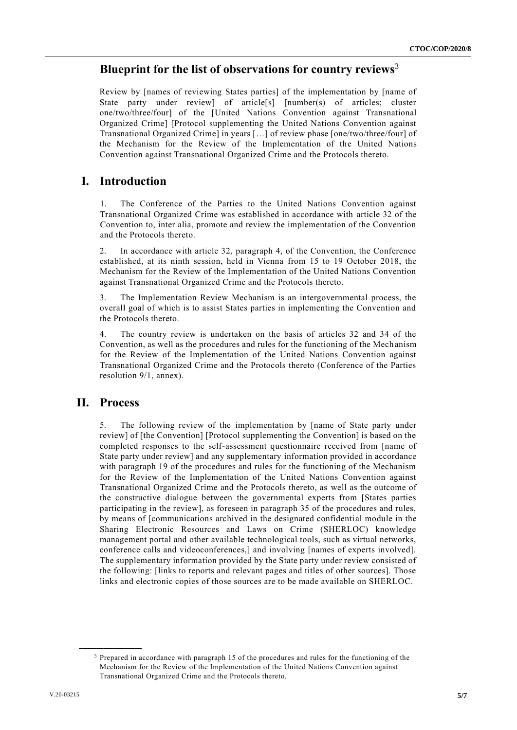#### **Blueprint for the list of observations for country reviews**<sup>3</sup>

Review by [names of reviewing States parties] of the implementation by [name of State party under review] of article[s] [number(s) of articles; cluster one/two/three/four] of the [United Nations Convention against Transnational Organized Crime] [Protocol supplementing the United Nations Convention against Transnational Organized Crime] in years […] of review phase [one/two/three/four] of the Mechanism for the Review of the Implementation of the United Nations Convention against Transnational Organized Crime and the Protocols thereto.

#### **I. Introduction**

1. The Conference of the Parties to the United Nations Convention against Transnational Organized Crime was established in accordance with article 32 of the Convention to, inter alia, promote and review the implementation of the Convention and the Protocols thereto.

2. In accordance with article 32, paragraph 4, of the Convention, the Conference established, at its ninth session, held in Vienna from 15 to 19 October 2018, the Mechanism for the Review of the Implementation of the United Nations Convention against Transnational Organized Crime and the Protocols thereto.

3. The Implementation Review Mechanism is an intergovernmental process, the overall goal of which is to assist States parties in implementing the Convention and the Protocols thereto.

4. The country review is undertaken on the basis of articles 32 and 34 of the Convention, as well as the procedures and rules for the functioning of the Mech anism for the Review of the Implementation of the United Nations Convention against Transnational Organized Crime and the Protocols thereto (Conference of the Parties resolution 9/1, annex).

#### **II. Process**

**\_\_\_\_\_\_\_\_\_\_\_\_\_\_\_\_\_\_**

5. The following review of the implementation by [name of State party under review] of [the Convention] [Protocol supplementing the Convention] is based on the completed responses to the self-assessment questionnaire received from [name of State party under review] and any supplementary information provided in accordance with paragraph 19 of the procedures and rules for the functioning of the Mechanism for the Review of the Implementation of the United Nations Convention against Transnational Organized Crime and the Protocols thereto, as well as the outcome of the constructive dialogue between the governmental experts from [States parties participating in the review], as foreseen in paragraph 35 of the procedures and rules, by means of [communications archived in the designated confidenti al module in the Sharing Electronic Resources and Laws on Crime (SHERLOC) knowledge management portal and other available technological tools, such as virtual networks, conference calls and videoconferences,] and involving [names of experts involved]. The supplementary information provided by the State party under review consisted of the following: [links to reports and relevant pages and titles of other sources]. Those links and electronic copies of those sources are to be made available on SHERLOC.

<sup>&</sup>lt;sup>3</sup> Prepared in accordance with paragraph 15 of the procedures and rules for the functioning of the Mechanism for the Review of the Implementation of the United Nations Convention against Transnational Organized Crime and the Protocols thereto.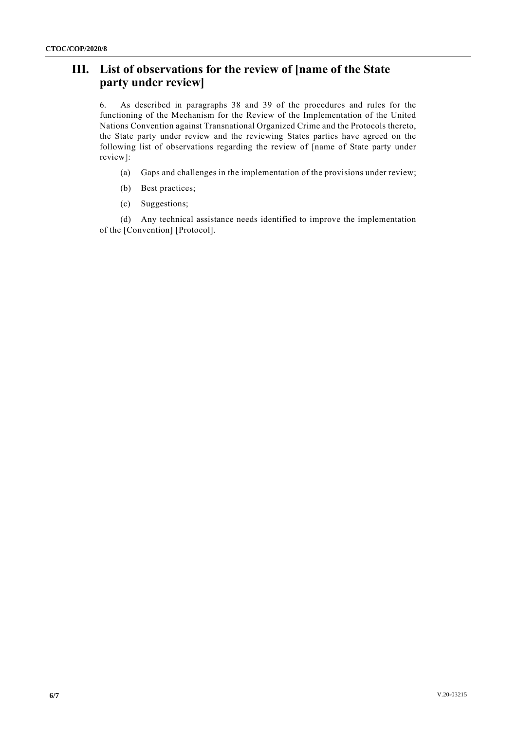# **III. List of observations for the review of [name of the State party under review]**

6. As described in paragraphs 38 and 39 of the procedures and rules for the functioning of the Mechanism for the Review of the Implementation of the United Nations Convention against Transnational Organized Crime and the Protocols thereto, the State party under review and the reviewing States parties have agreed on the following list of observations regarding the review of [name of State party under review]:

- (a) Gaps and challenges in the implementation of the provisions under review;
- (b) Best practices;
- (c) Suggestions;

(d) Any technical assistance needs identified to improve the implementation of the [Convention] [Protocol].